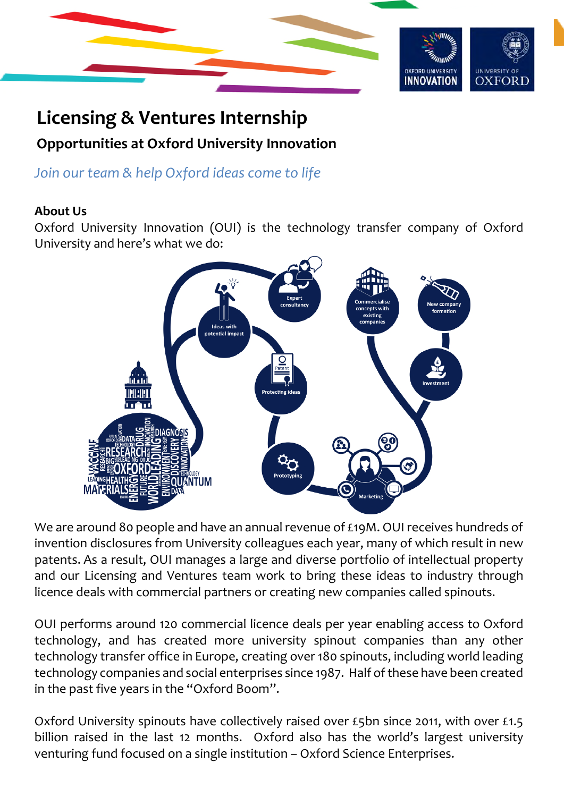

# **Licensing & Ventures Internship Opportunities at Oxford University Innovation**

*Join our team & help Oxford ideas come to life* 

#### **About Us**

Oxford University Innovation (OUI) is the technology transfer company of Oxford University and here's what we do:



We are around 80 people and have an annual revenue of £19M. OUI receives hundreds of invention disclosures from University colleagues each year, many of which result in new patents. As a result, OUI manages a large and diverse portfolio of intellectual property and our Licensing and Ventures team work to bring these ideas to industry through licence deals with commercial partners or creating new companies called spinouts.

OUI performs around 120 commercial licence deals per year enabling access to Oxford technology, and has created more university spinout companies than any other technology transfer office in Europe, creating over 180 spinouts, including world leading technology companies and social enterprises since 1987. Half of these have been created in the past five years in the "Oxford Boom".

Oxford University spinouts have collectively raised over £5bn since 2011, with over £1.5 billion raised in the last 12 months. Oxford also has the world's largest university venturing fund focused on a single institution – Oxford Science Enterprises.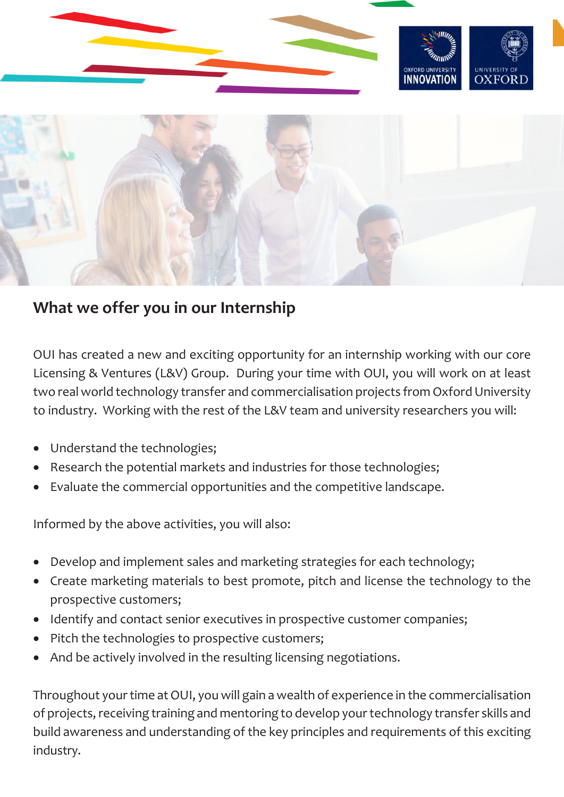



### **What we offer you in our Internship**

OUI has created a new and exciting opportunity for an internship working with our core Licensing & Ventures (L&V) Group. During your time with OUI, you will work on at least two real world technology transfer and commercialisation projects from Oxford University to industry. Working with the rest of the L&V team and university researchers you will:

- Understand the technologies;
- Research the potential markets and industries for those technologies;
- Evaluate the commercial opportunities and the competitive landscape.

Informed by the above activities, you will also:

- Develop and implement sales and marketing strategies for each technology;
- Create marketing materials to best promote, pitch and license the technology to the prospective customers;
- Identify and contact senior executives in prospective customer companies;
- Pitch the technologies to prospective customers;
- And be actively involved in the resulting licensing negotiations.

Throughout your time at OUI, you will gain a wealth of experience in the commercialisation of projects, receiving training and mentoring to develop your technology transfer skills and build awareness and understanding of the key principles and requirements of this exciting industry.